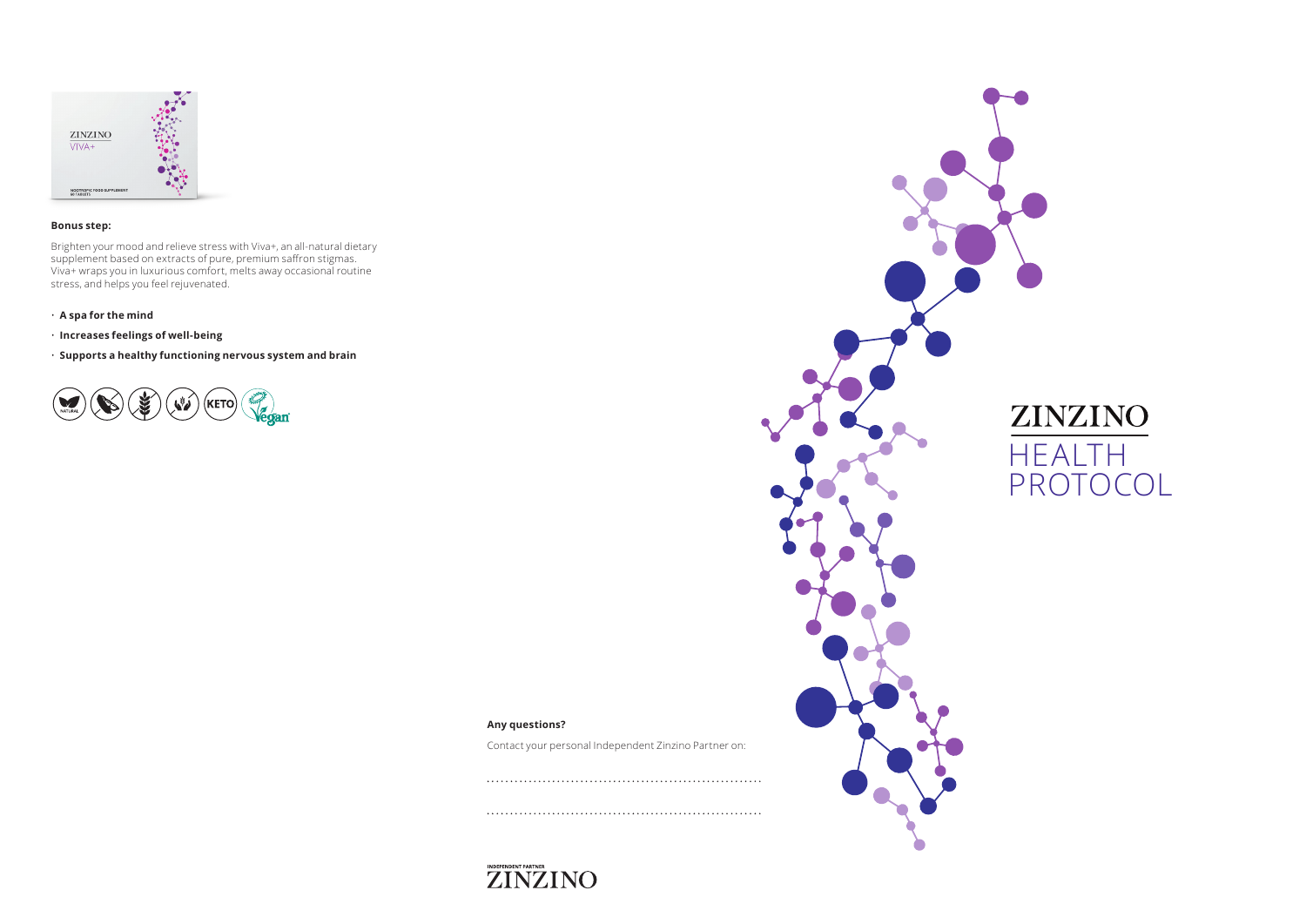

### **Bonus step:**

Brighten your mood and relieve stress with Viva+, an all-natural dietary supplement based on extracts of pure, premium saffron stigmas. Viva+ wraps you in luxurious comfort, melts away occasional routine stress, and helps you feel rejuvenated.

- **A spa for the mind**
- **Increases feelings of well-being**

• **Supports a healthy functioning nervous system and brain**





# **Any questions?**

Contact your personal Independent Zinzino Partner on: